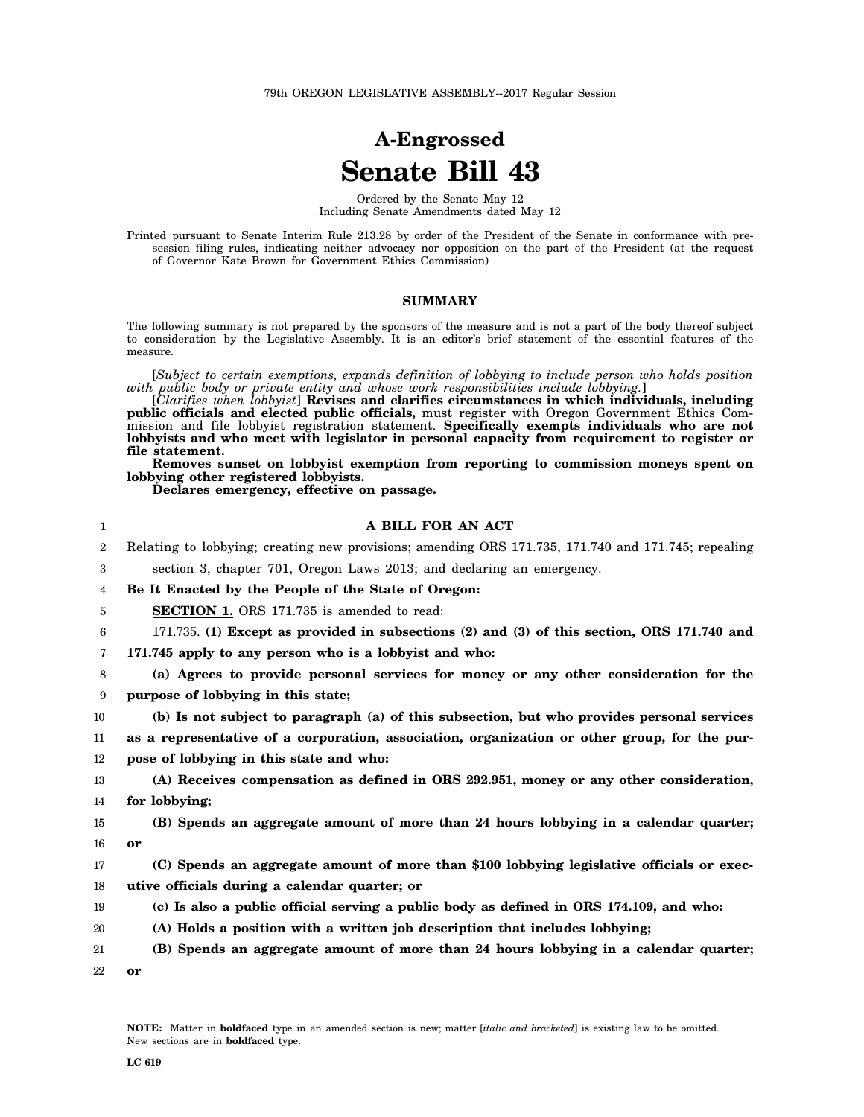# **A-Engrossed Senate Bill 43**

Ordered by the Senate May 12 Including Senate Amendments dated May 12

Printed pursuant to Senate Interim Rule 213.28 by order of the President of the Senate in conformance with presession filing rules, indicating neither advocacy nor opposition on the part of the President (at the request of Governor Kate Brown for Government Ethics Commission)

#### **SUMMARY**

The following summary is not prepared by the sponsors of the measure and is not a part of the body thereof subject to consideration by the Legislative Assembly. It is an editor's brief statement of the essential features of the measure.

[*Subject to certain exemptions, expands definition of lobbying to include person who holds position with public body or private entity and whose work responsibilities include lobbying.*]

[*Clarifies when lobbyist*] **Revises and clarifies circumstances in which individuals, including public officials and elected public officials,** must register with Oregon Government Ethics Commission and file lobbyist registration statement. **Specifically exempts individuals who are not lobbyists and who meet with legislator in personal capacity from requirement to register or file statement.**

**Removes sunset on lobbyist exemption from reporting to commission moneys spent on lobbying other registered lobbyists.**

**Declares emergency, effective on passage.**

### **A BILL FOR AN ACT**

| <b>DU</b>                                                                                             |                                                                       |  | $\mathbf{a}$ $\mathbf{a}$ $\mathbf{a}$ $\mathbf{a}$ $\mathbf{a}$ |  |  |  |  |  |
|-------------------------------------------------------------------------------------------------------|-----------------------------------------------------------------------|--|------------------------------------------------------------------|--|--|--|--|--|
|                                                                                                       | section 3, chapter 701, Oregon Laws 2013; and declaring an emergency. |  |                                                                  |  |  |  |  |  |
| 2 Relating to lobbying; creating new provisions; amending ORS 171.735, 171.740 and 171.745; repealing |                                                                       |  |                                                                  |  |  |  |  |  |

4 **Be It Enacted by the People of the State of Oregon:**

5 **SECTION 1.** ORS 171.735 is amended to read:

6 171.735. **(1) Except as provided in subsections (2) and (3) of this section, ORS 171.740 and**

7 **171.745 apply to any person who is a lobbyist and who:**

8 9 **(a) Agrees to provide personal services for money or any other consideration for the purpose of lobbying in this state;**

10 **(b) Is not subject to paragraph (a) of this subsection, but who provides personal services**

11 12 **as a representative of a corporation, association, organization or other group, for the purpose of lobbying in this state and who:**

13 14 **(A) Receives compensation as defined in ORS 292.951, money or any other consideration, for lobbying;**

15 16 **(B) Spends an aggregate amount of more than 24 hours lobbying in a calendar quarter; or**

17 18 **(C) Spends an aggregate amount of more than \$100 lobbying legislative officials or executive officials during a calendar quarter; or**

- 19 **(c) Is also a public official serving a public body as defined in ORS 174.109, and who:**
- 20 **(A) Holds a position with a written job description that includes lobbying;**

21 22 **(B) Spends an aggregate amount of more than 24 hours lobbying in a calendar quarter; or**

1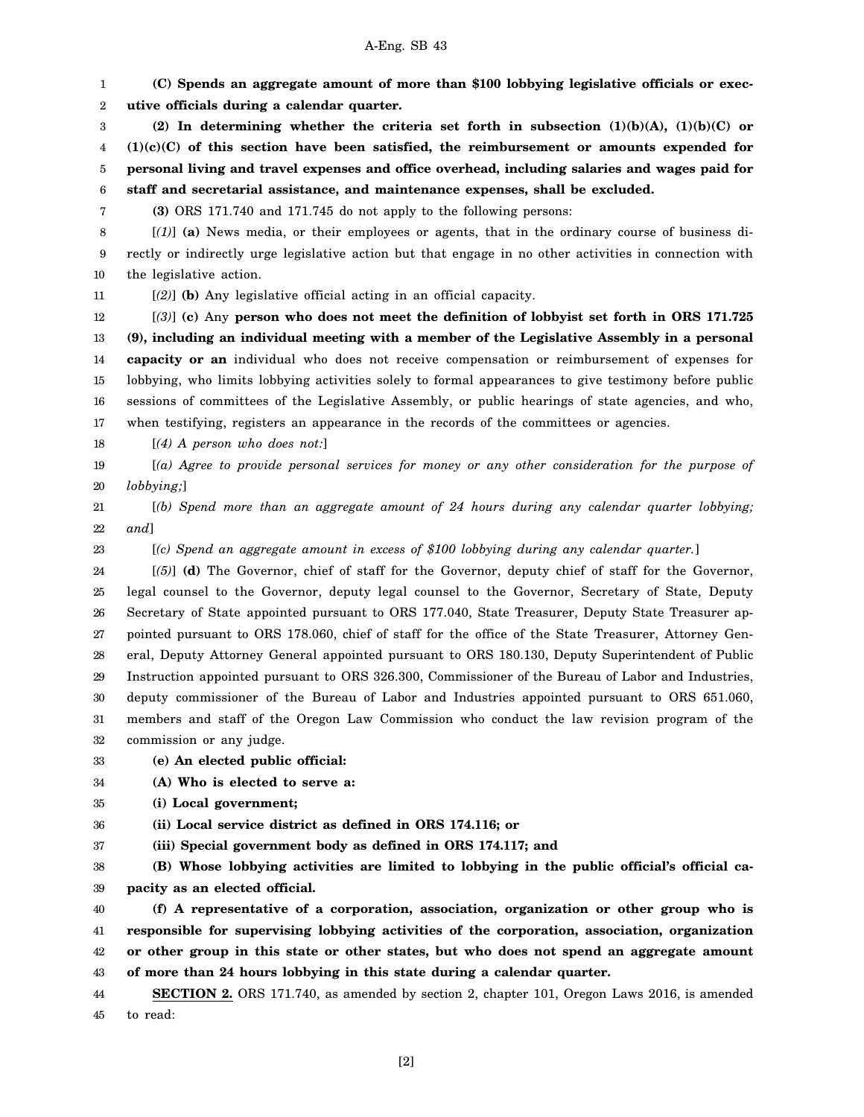## A-Eng. SB 43

1 2 3 4 5 6 7 8 9 10 11 12 13 14 15 16 17 18 19 20 21 22 23 24 25 26 27 28 29 30 31 32 33 **(C) Spends an aggregate amount of more than \$100 lobbying legislative officials or executive officials during a calendar quarter. (2) In determining whether the criteria set forth in subsection (1)(b)(A), (1)(b)(C) or (1)(c)(C) of this section have been satisfied, the reimbursement or amounts expended for personal living and travel expenses and office overhead, including salaries and wages paid for staff and secretarial assistance, and maintenance expenses, shall be excluded. (3)** ORS 171.740 and 171.745 do not apply to the following persons: [*(1)*] **(a)** News media, or their employees or agents, that in the ordinary course of business directly or indirectly urge legislative action but that engage in no other activities in connection with the legislative action. [*(2)*] **(b)** Any legislative official acting in an official capacity. [*(3)*] **(c)** Any **person who does not meet the definition of lobbyist set forth in ORS 171.725 (9), including an individual meeting with a member of the Legislative Assembly in a personal capacity or an** individual who does not receive compensation or reimbursement of expenses for lobbying, who limits lobbying activities solely to formal appearances to give testimony before public sessions of committees of the Legislative Assembly, or public hearings of state agencies, and who, when testifying, registers an appearance in the records of the committees or agencies. [*(4) A person who does not:*] [*(a) Agree to provide personal services for money or any other consideration for the purpose of lobbying;*] [*(b) Spend more than an aggregate amount of 24 hours during any calendar quarter lobbying; and*] [*(c) Spend an aggregate amount in excess of \$100 lobbying during any calendar quarter.*] [*(5)*] **(d)** The Governor, chief of staff for the Governor, deputy chief of staff for the Governor, legal counsel to the Governor, deputy legal counsel to the Governor, Secretary of State, Deputy Secretary of State appointed pursuant to ORS 177.040, State Treasurer, Deputy State Treasurer appointed pursuant to ORS 178.060, chief of staff for the office of the State Treasurer, Attorney General, Deputy Attorney General appointed pursuant to ORS 180.130, Deputy Superintendent of Public Instruction appointed pursuant to ORS 326.300, Commissioner of the Bureau of Labor and Industries, deputy commissioner of the Bureau of Labor and Industries appointed pursuant to ORS 651.060, members and staff of the Oregon Law Commission who conduct the law revision program of the commission or any judge. **(e) An elected public official:**

34 **(A) Who is elected to serve a:**

35 **(i) Local government;**

36 **(ii) Local service district as defined in ORS 174.116; or**

37 **(iii) Special government body as defined in ORS 174.117; and**

38 39 **(B) Whose lobbying activities are limited to lobbying in the public official's official capacity as an elected official.**

40 41 42 43 **(f) A representative of a corporation, association, organization or other group who is responsible for supervising lobbying activities of the corporation, association, organization or other group in this state or other states, but who does not spend an aggregate amount of more than 24 hours lobbying in this state during a calendar quarter.**

44 45 **SECTION 2.** ORS 171.740, as amended by section 2, chapter 101, Oregon Laws 2016, is amended to read: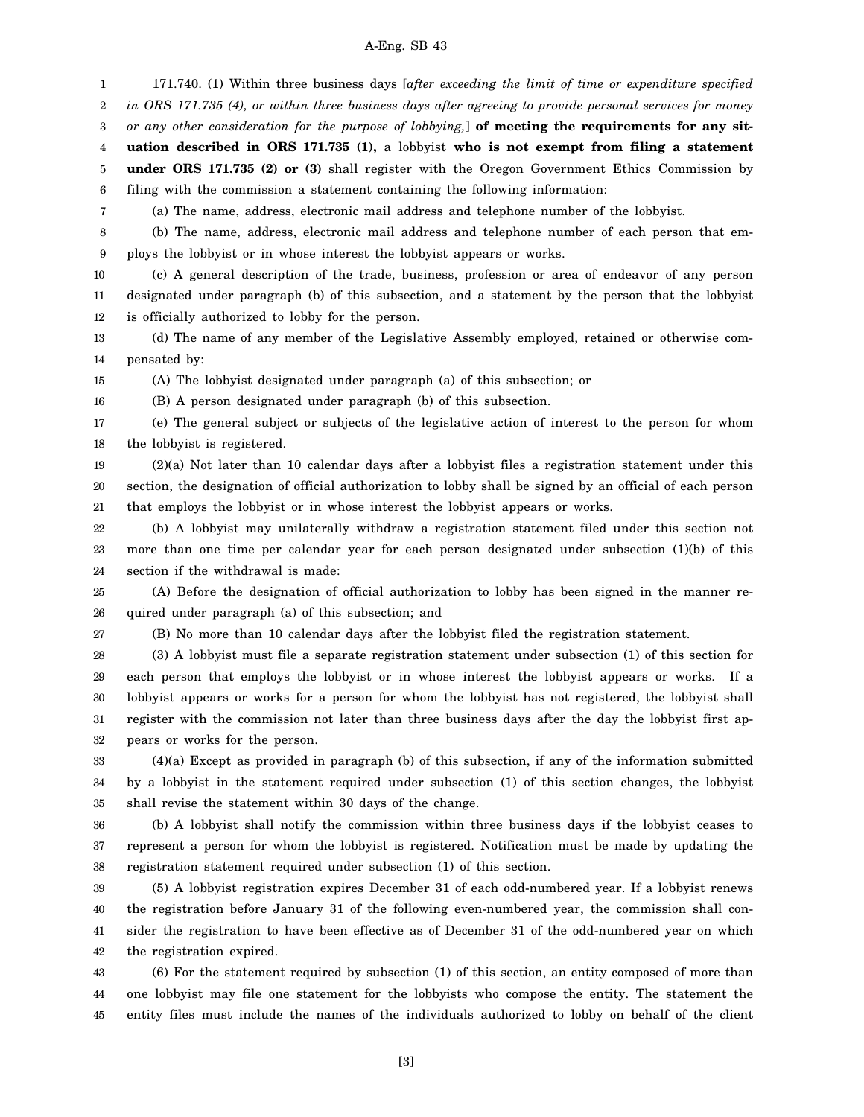### A-Eng. SB 43

1 2 171.740. (1) Within three business days [*after exceeding the limit of time or expenditure specified in ORS 171.735 (4), or within three business days after agreeing to provide personal services for money*

3 *or any other consideration for the purpose of lobbying,*] **of meeting the requirements for any sit-**

4 **uation described in ORS 171.735 (1),** a lobbyist **who is not exempt from filing a statement**

5 6 **under ORS 171.735 (2) or (3)** shall register with the Oregon Government Ethics Commission by filing with the commission a statement containing the following information:

(a) The name, address, electronic mail address and telephone number of the lobbyist.

8 9 (b) The name, address, electronic mail address and telephone number of each person that employs the lobbyist or in whose interest the lobbyist appears or works.

10 11 12 (c) A general description of the trade, business, profession or area of endeavor of any person designated under paragraph (b) of this subsection, and a statement by the person that the lobbyist is officially authorized to lobby for the person.

13 14 (d) The name of any member of the Legislative Assembly employed, retained or otherwise compensated by:

15 (A) The lobbyist designated under paragraph (a) of this subsection; or

16 (B) A person designated under paragraph (b) of this subsection.

17 18 (e) The general subject or subjects of the legislative action of interest to the person for whom the lobbyist is registered.

19 20 21 (2)(a) Not later than 10 calendar days after a lobbyist files a registration statement under this section, the designation of official authorization to lobby shall be signed by an official of each person that employs the lobbyist or in whose interest the lobbyist appears or works.

22 23 24 (b) A lobbyist may unilaterally withdraw a registration statement filed under this section not more than one time per calendar year for each person designated under subsection (1)(b) of this section if the withdrawal is made:

25 26 (A) Before the designation of official authorization to lobby has been signed in the manner required under paragraph (a) of this subsection; and

27

7

(B) No more than 10 calendar days after the lobbyist filed the registration statement.

28 29 30 31 32 (3) A lobbyist must file a separate registration statement under subsection (1) of this section for each person that employs the lobbyist or in whose interest the lobbyist appears or works. If a lobbyist appears or works for a person for whom the lobbyist has not registered, the lobbyist shall register with the commission not later than three business days after the day the lobbyist first appears or works for the person.

33 34 35 (4)(a) Except as provided in paragraph (b) of this subsection, if any of the information submitted by a lobbyist in the statement required under subsection (1) of this section changes, the lobbyist shall revise the statement within 30 days of the change.

36 37 38 (b) A lobbyist shall notify the commission within three business days if the lobbyist ceases to represent a person for whom the lobbyist is registered. Notification must be made by updating the registration statement required under subsection (1) of this section.

39 40 41 42 (5) A lobbyist registration expires December 31 of each odd-numbered year. If a lobbyist renews the registration before January 31 of the following even-numbered year, the commission shall consider the registration to have been effective as of December 31 of the odd-numbered year on which the registration expired.

43 44 45 (6) For the statement required by subsection (1) of this section, an entity composed of more than one lobbyist may file one statement for the lobbyists who compose the entity. The statement the entity files must include the names of the individuals authorized to lobby on behalf of the client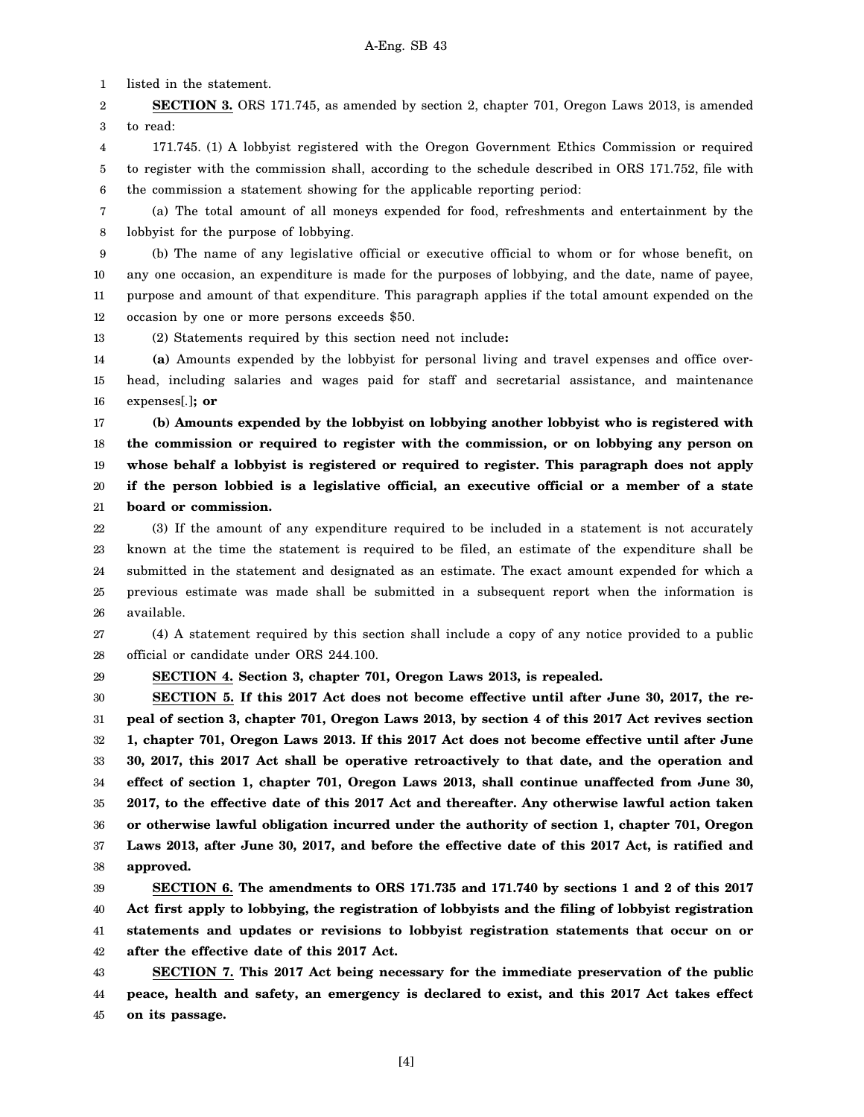1 listed in the statement.

2 3 **SECTION 3.** ORS 171.745, as amended by section 2, chapter 701, Oregon Laws 2013, is amended to read:

4 5 6 171.745. (1) A lobbyist registered with the Oregon Government Ethics Commission or required to register with the commission shall, according to the schedule described in ORS 171.752, file with the commission a statement showing for the applicable reporting period:

7 8 (a) The total amount of all moneys expended for food, refreshments and entertainment by the lobbyist for the purpose of lobbying.

9 10 11 12 (b) The name of any legislative official or executive official to whom or for whose benefit, on any one occasion, an expenditure is made for the purposes of lobbying, and the date, name of payee, purpose and amount of that expenditure. This paragraph applies if the total amount expended on the occasion by one or more persons exceeds \$50.

13 (2) Statements required by this section need not include**:**

14 15 16 **(a)** Amounts expended by the lobbyist for personal living and travel expenses and office overhead, including salaries and wages paid for staff and secretarial assistance, and maintenance expenses[*.*]**; or**

17 18 19 20 21 **(b) Amounts expended by the lobbyist on lobbying another lobbyist who is registered with the commission or required to register with the commission, or on lobbying any person on whose behalf a lobbyist is registered or required to register. This paragraph does not apply if the person lobbied is a legislative official, an executive official or a member of a state board or commission.**

22 23 24 25 26 (3) If the amount of any expenditure required to be included in a statement is not accurately known at the time the statement is required to be filed, an estimate of the expenditure shall be submitted in the statement and designated as an estimate. The exact amount expended for which a previous estimate was made shall be submitted in a subsequent report when the information is available.

27 28 (4) A statement required by this section shall include a copy of any notice provided to a public official or candidate under ORS 244.100.

29

**SECTION 4. Section 3, chapter 701, Oregon Laws 2013, is repealed.**

30 31 32 33 34 35 36 37 38 **SECTION 5. If this 2017 Act does not become effective until after June 30, 2017, the repeal of section 3, chapter 701, Oregon Laws 2013, by section 4 of this 2017 Act revives section 1, chapter 701, Oregon Laws 2013. If this 2017 Act does not become effective until after June 30, 2017, this 2017 Act shall be operative retroactively to that date, and the operation and effect of section 1, chapter 701, Oregon Laws 2013, shall continue unaffected from June 30, 2017, to the effective date of this 2017 Act and thereafter. Any otherwise lawful action taken or otherwise lawful obligation incurred under the authority of section 1, chapter 701, Oregon Laws 2013, after June 30, 2017, and before the effective date of this 2017 Act, is ratified and approved.**

39 40 41 42 **SECTION 6. The amendments to ORS 171.735 and 171.740 by sections 1 and 2 of this 2017 Act first apply to lobbying, the registration of lobbyists and the filing of lobbyist registration statements and updates or revisions to lobbyist registration statements that occur on or after the effective date of this 2017 Act.**

43 44 45 **SECTION 7. This 2017 Act being necessary for the immediate preservation of the public peace, health and safety, an emergency is declared to exist, and this 2017 Act takes effect on its passage.**